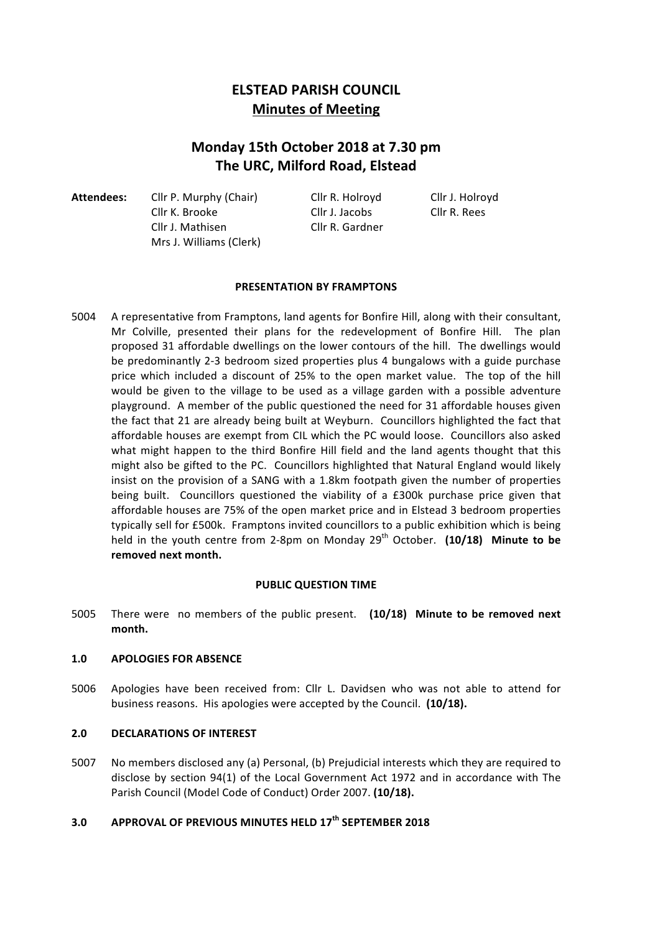# **ELSTEAD PARISH COUNCIL Minutes of Meeting**

# **Monday 15th October 2018 at 7.30 pm The URC, Milford Road, Elstead**

Attendees: Cllr P. Murphy (Chair) Cllr R. Holroyd Cllr J. Holroyd Cllr K. Brooke Cllr J. Jacobs Cllr R. Rees Cllr J. Mathisen Cllr R. Gardner Mrs J. Williams (Clerk)

# **PRESENTATION BY FRAMPTONS**

5004 A representative from Framptons, land agents for Bonfire Hill, along with their consultant, Mr Colville, presented their plans for the redevelopment of Bonfire Hill. The plan proposed 31 affordable dwellings on the lower contours of the hill. The dwellings would be predominantly 2-3 bedroom sized properties plus 4 bungalows with a guide purchase price which included a discount of 25% to the open market value. The top of the hill would be given to the village to be used as a village garden with a possible adventure playground. A member of the public questioned the need for 31 affordable houses given the fact that 21 are already being built at Weyburn. Councillors highlighted the fact that affordable houses are exempt from CIL which the PC would loose. Councillors also asked what might happen to the third Bonfire Hill field and the land agents thought that this might also be gifted to the PC. Councillors highlighted that Natural England would likely insist on the provision of a SANG with a 1.8km footpath given the number of properties being built. Councillors questioned the viability of a £300k purchase price given that affordable houses are 75% of the open market price and in Elstead 3 bedroom properties typically sell for £500k. Framptons invited councillors to a public exhibition which is being held in the youth centre from 2-8pm on Monday 29<sup>th</sup> October. (10/18) Minute to be removed next month.

# **PUBLIC QUESTION TIME**

5005 There were no members of the public present. (10/18) Minute to be removed next **month.**

# 1.0 **APOLOGIES FOR ABSENCE**

5006 Apologies have been received from: Cllr L. Davidsen who was not able to attend for business reasons. His apologies were accepted by the Council. (10/18).

# **2.0 DECLARATIONS OF INTEREST**

5007 No members disclosed any (a) Personal, (b) Prejudicial interests which they are required to disclose by section 94(1) of the Local Government Act 1972 and in accordance with The Parish Council (Model Code of Conduct) Order 2007. (10/18).

# **3.0 APPROVAL OF PREVIOUS MINUTES HELD 17th SEPTEMBER 2018**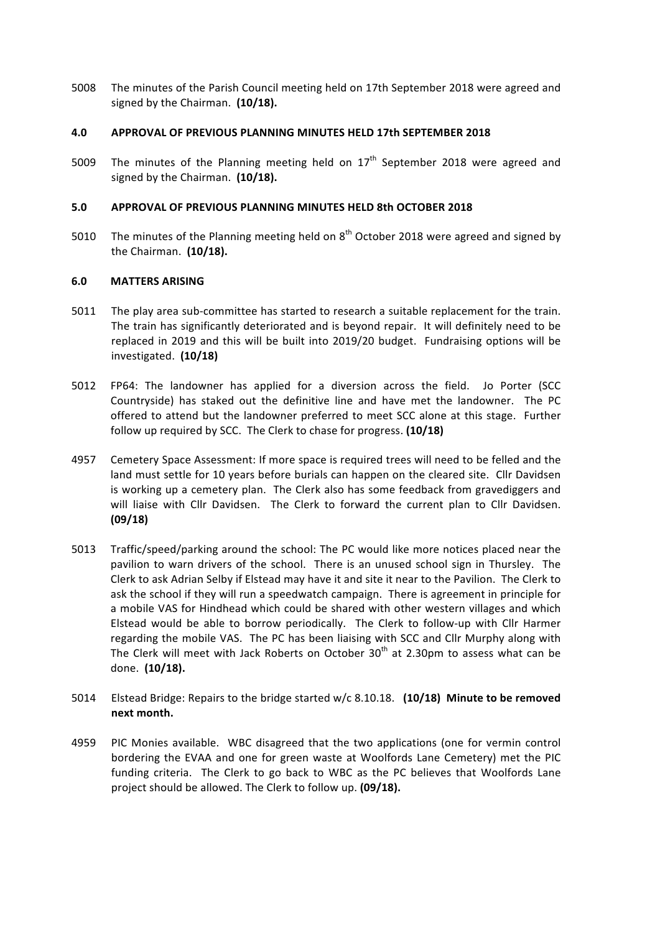5008 The minutes of the Parish Council meeting held on 17th September 2018 were agreed and signed by the Chairman. (10/18).

## **4.0 APPROVAL OF PREVIOUS PLANNING MINUTES HELD 17th SEPTEMBER 2018**

5009 The minutes of the Planning meeting held on  $17<sup>th</sup>$  September 2018 were agreed and signed by the Chairman. (10/18).

## **5.0 APPROVAL OF PREVIOUS PLANNING MINUTES HELD 8th OCTOBER 2018**

5010 The minutes of the Planning meeting held on  $8<sup>th</sup>$  October 2018 were agreed and signed by the Chairman. (10/18).

#### **6.0 MATTERS ARISING**

- 5011 The play area sub-committee has started to research a suitable replacement for the train. The train has significantly deteriorated and is beyond repair. It will definitely need to be replaced in 2019 and this will be built into 2019/20 budget. Fundraising options will be investigated. (10/18)
- 5012 FP64: The landowner has applied for a diversion across the field. Jo Porter (SCC Countryside) has staked out the definitive line and have met the landowner. The PC offered to attend but the landowner preferred to meet SCC alone at this stage. Further follow up required by SCC. The Clerk to chase for progress. (10/18)
- 4957 Cemetery Space Assessment: If more space is required trees will need to be felled and the land must settle for 10 years before burials can happen on the cleared site. Cllr Davidsen is working up a cemetery plan. The Clerk also has some feedback from gravediggers and will liaise with Cllr Davidsen. The Clerk to forward the current plan to Cllr Davidsen. **(09/18)**
- 5013 Traffic/speed/parking around the school: The PC would like more notices placed near the pavilion to warn drivers of the school. There is an unused school sign in Thursley. The Clerk to ask Adrian Selby if Elstead may have it and site it near to the Pavilion. The Clerk to ask the school if they will run a speedwatch campaign. There is agreement in principle for a mobile VAS for Hindhead which could be shared with other western villages and which Elstead would be able to borrow periodically. The Clerk to follow-up with Cllr Harmer regarding the mobile VAS. The PC has been liaising with SCC and Cllr Murphy along with The Clerk will meet with Jack Roberts on October  $30<sup>th</sup>$  at 2.30pm to assess what can be done. (10/18).
- 5014 Elstead Bridge: Repairs to the bridge started w/c 8.10.18. (10/18) Minute to be removed **next month.**
- 4959 PIC Monies available. WBC disagreed that the two applications (one for vermin control bordering the EVAA and one for green waste at Woolfords Lane Cemetery) met the PIC funding criteria. The Clerk to go back to WBC as the PC believes that Woolfords Lane project should be allowed. The Clerk to follow up. **(09/18).**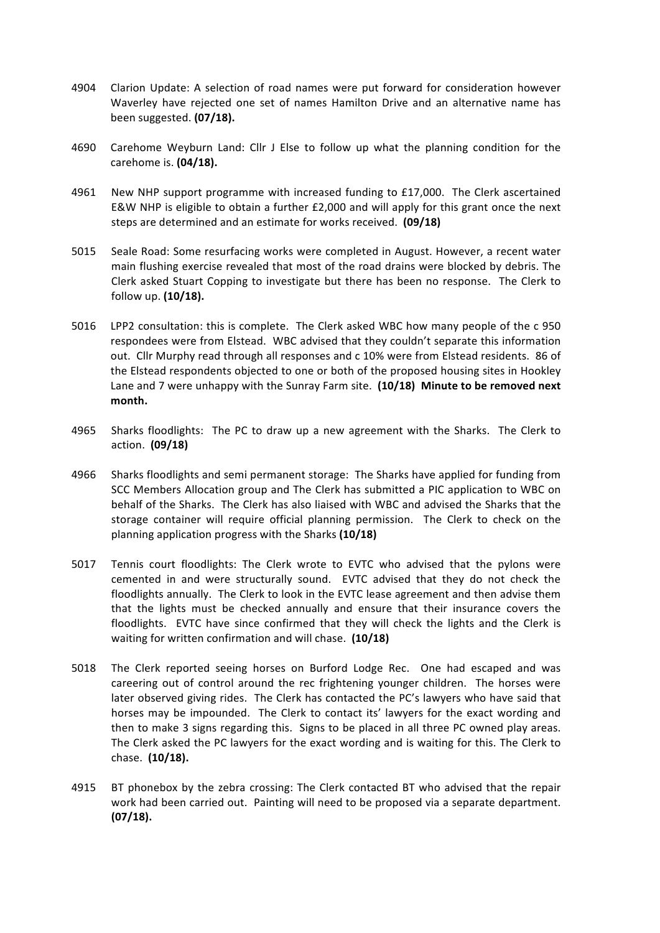- 4904 Clarion Update: A selection of road names were put forward for consideration however Waverley have rejected one set of names Hamilton Drive and an alternative name has been suggested. **(07/18).**
- 4690 Carehome Weyburn Land: Cllr J Else to follow up what the planning condition for the carehome is. **(04/18).**
- 4961 New NHP support programme with increased funding to £17,000. The Clerk ascertained E&W NHP is eligible to obtain a further  $£2,000$  and will apply for this grant once the next steps are determined and an estimate for works received. **(09/18)**
- 5015 Seale Road: Some resurfacing works were completed in August. However, a recent water main flushing exercise revealed that most of the road drains were blocked by debris. The Clerk asked Stuart Copping to investigate but there has been no response. The Clerk to follow up. (10/18).
- 5016 LPP2 consultation: this is complete. The Clerk asked WBC how many people of the c 950 respondees were from Elstead. WBC advised that they couldn't separate this information out. Cllr Murphy read through all responses and c 10% were from Elstead residents. 86 of the Elstead respondents objected to one or both of the proposed housing sites in Hookley Lane and 7 were unhappy with the Sunray Farm site. (10/18) Minute to be removed next **month.**
- 4965 Sharks floodlights: The PC to draw up a new agreement with the Sharks. The Clerk to action. **(09/18)**
- 4966 Sharks floodlights and semi permanent storage: The Sharks have applied for funding from SCC Members Allocation group and The Clerk has submitted a PIC application to WBC on behalf of the Sharks. The Clerk has also liaised with WBC and advised the Sharks that the storage container will require official planning permission. The Clerk to check on the planning application progress with the Sharks **(10/18)**
- 5017 Tennis court floodlights: The Clerk wrote to EVTC who advised that the pylons were cemented in and were structurally sound. EVTC advised that they do not check the floodlights annually. The Clerk to look in the EVTC lease agreement and then advise them that the lights must be checked annually and ensure that their insurance covers the floodlights. EVTC have since confirmed that they will check the lights and the Clerk is waiting for written confirmation and will chase. (10/18)
- 5018 The Clerk reported seeing horses on Burford Lodge Rec. One had escaped and was careering out of control around the rec frightening younger children. The horses were later observed giving rides. The Clerk has contacted the PC's lawyers who have said that horses may be impounded. The Clerk to contact its' lawyers for the exact wording and then to make 3 signs regarding this. Signs to be placed in all three PC owned play areas. The Clerk asked the PC lawyers for the exact wording and is waiting for this. The Clerk to chase. (10/18).
- 4915 BT phonebox by the zebra crossing: The Clerk contacted BT who advised that the repair work had been carried out. Painting will need to be proposed via a separate department. **(07/18).**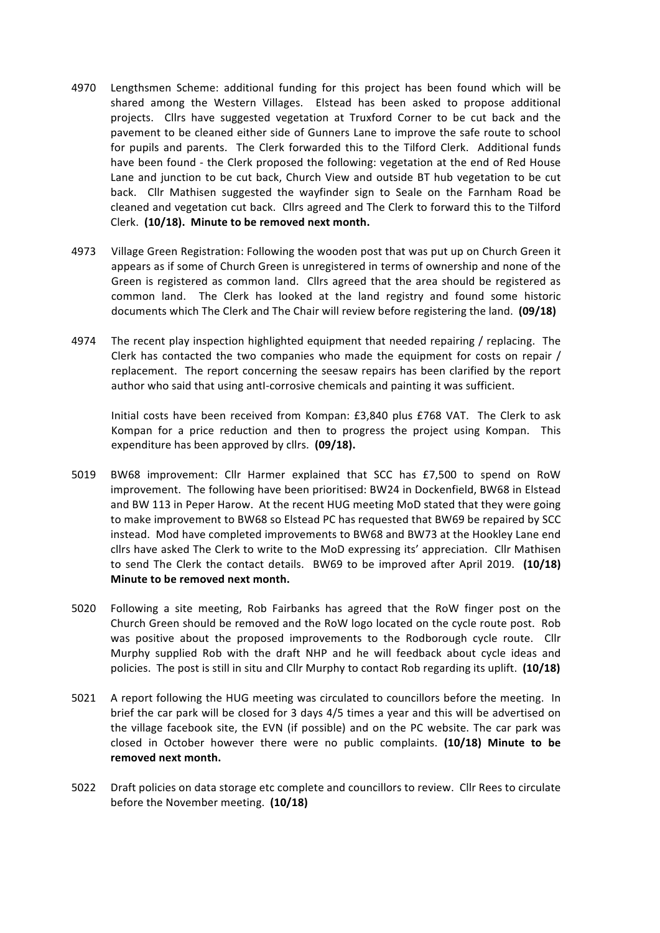- 4970 Lengthsmen Scheme: additional funding for this project has been found which will be shared among the Western Villages. Elstead has been asked to propose additional projects. Cllrs have suggested vegetation at Truxford Corner to be cut back and the pavement to be cleaned either side of Gunners Lane to improve the safe route to school for pupils and parents. The Clerk forwarded this to the Tilford Clerk. Additional funds have been found - the Clerk proposed the following: vegetation at the end of Red House Lane and junction to be cut back, Church View and outside BT hub vegetation to be cut back. Cllr Mathisen suggested the wayfinder sign to Seale on the Farnham Road be cleaned and vegetation cut back. Cllrs agreed and The Clerk to forward this to the Tilford Clerk. (10/18). Minute to be removed next month.
- 4973 Village Green Registration: Following the wooden post that was put up on Church Green it appears as if some of Church Green is unregistered in terms of ownership and none of the Green is registered as common land. Cllrs agreed that the area should be registered as common land. The Clerk has looked at the land registry and found some historic documents which The Clerk and The Chair will review before registering the land. **(09/18)**
- 4974 The recent play inspection highlighted equipment that needed repairing / replacing. The Clerk has contacted the two companies who made the equipment for costs on repair / replacement. The report concerning the seesaw repairs has been clarified by the report author who said that using anti-corrosive chemicals and painting it was sufficient.

Initial costs have been received from Kompan: £3,840 plus £768 VAT. The Clerk to ask Kompan for a price reduction and then to progress the project using Kompan. This expenditure has been approved by cllrs. (09/18).

- 5019 BW68 improvement: Cllr Harmer explained that SCC has £7,500 to spend on RoW improvement. The following have been prioritised: BW24 in Dockenfield, BW68 in Elstead and BW 113 in Peper Harow. At the recent HUG meeting MoD stated that they were going to make improvement to BW68 so Elstead PC has requested that BW69 be repaired by SCC instead. Mod have completed improvements to BW68 and BW73 at the Hookley Lane end cllrs have asked The Clerk to write to the MoD expressing its' appreciation. Cllr Mathisen to send The Clerk the contact details. BW69 to be improved after April 2019. (10/18) **Minute to be removed next month.**
- 5020 Following a site meeting, Rob Fairbanks has agreed that the RoW finger post on the Church Green should be removed and the RoW logo located on the cycle route post. Rob was positive about the proposed improvements to the Rodborough cycle route. Cllr Murphy supplied Rob with the draft NHP and he will feedback about cycle ideas and policies. The post is still in situ and Cllr Murphy to contact Rob regarding its uplift. **(10/18)**
- 5021 A report following the HUG meeting was circulated to councillors before the meeting. In brief the car park will be closed for 3 days 4/5 times a year and this will be advertised on the village facebook site, the EVN (if possible) and on the PC website. The car park was closed in October however there were no public complaints. (10/18) Minute to be removed next month.
- 5022 Draft policies on data storage etc complete and councillors to review. Cllr Rees to circulate before the November meeting. (10/18)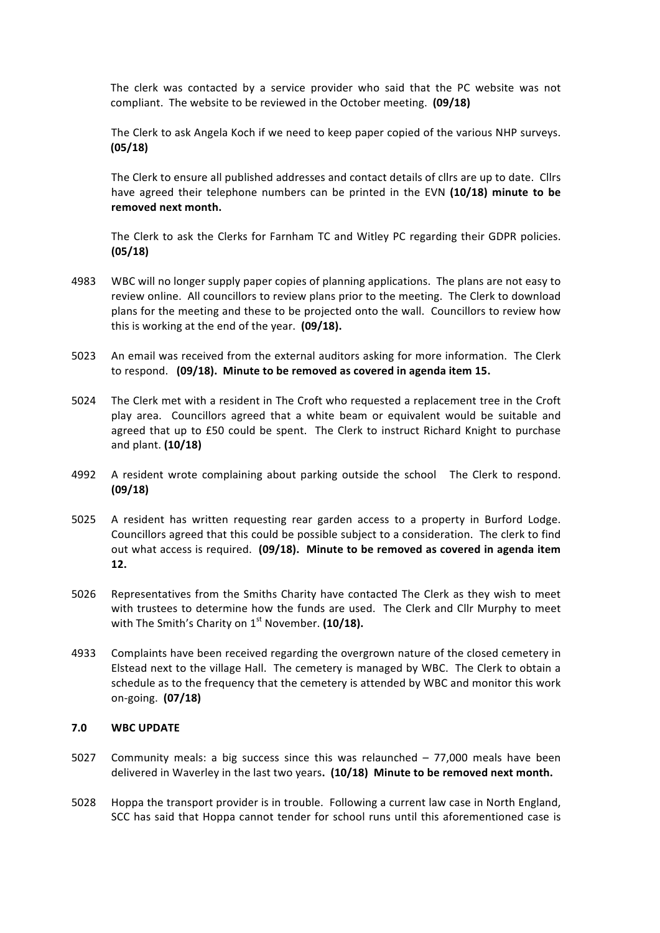The clerk was contacted by a service provider who said that the PC website was not compliant. The website to be reviewed in the October meeting. (09/18)

The Clerk to ask Angela Koch if we need to keep paper copied of the various NHP surveys. **(05/18)**

The Clerk to ensure all published addresses and contact details of cllrs are up to date. Cllrs have agreed their telephone numbers can be printed in the EVN (10/18) minute to be removed next month.

The Clerk to ask the Clerks for Farnham TC and Witley PC regarding their GDPR policies. **(05/18)**

- 4983 WBC will no longer supply paper copies of planning applications. The plans are not easy to review online. All councillors to review plans prior to the meeting. The Clerk to download plans for the meeting and these to be projected onto the wall. Councillors to review how this is working at the end of the year. **(09/18).**
- 5023 An email was received from the external auditors asking for more information. The Clerk to respond. (09/18). Minute to be removed as covered in agenda item 15.
- 5024 The Clerk met with a resident in The Croft who requested a replacement tree in the Croft play area. Councillors agreed that a white beam or equivalent would be suitable and agreed that up to £50 could be spent. The Clerk to instruct Richard Knight to purchase and plant. **(10/18)**
- 4992 A resident wrote complaining about parking outside the school The Clerk to respond. **(09/18)**
- 5025 A resident has written requesting rear garden access to a property in Burford Lodge. Councillors agreed that this could be possible subject to a consideration. The clerk to find out what access is required. (09/18). Minute to be removed as covered in agenda item **12.**
- 5026 Representatives from the Smiths Charity have contacted The Clerk as they wish to meet with trustees to determine how the funds are used. The Clerk and Cllr Murphy to meet with The Smith's Charity on 1<sup>st</sup> November. (10/18).
- 4933 Complaints have been received regarding the overgrown nature of the closed cemetery in Elstead next to the village Hall. The cemetery is managed by WBC. The Clerk to obtain a schedule as to the frequency that the cemetery is attended by WBC and monitor this work on-going. **(07/18)**

#### **7.0 WBC UPDATE**

- 5027 Community meals: a big success since this was relaunched  $-77,000$  meals have been delivered in Waverley in the last two years. (10/18) Minute to be removed next month.
- 5028 Hoppa the transport provider is in trouble. Following a current law case in North England, SCC has said that Hoppa cannot tender for school runs until this aforementioned case is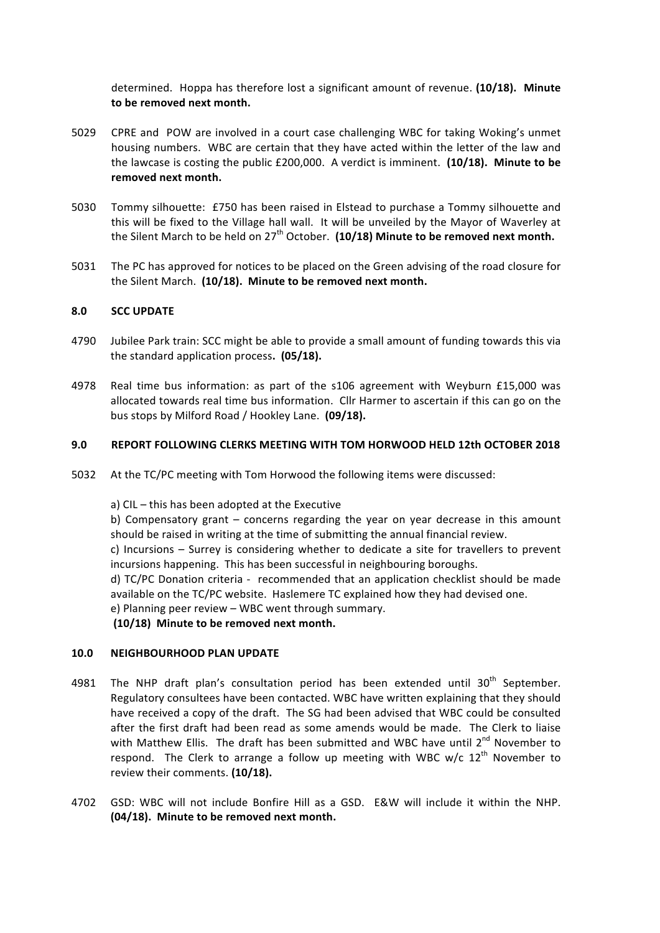determined. Hoppa has therefore lost a significant amount of revenue. (10/18). Minute to be removed next month.

- 5029 CPRE and POW are involved in a court case challenging WBC for taking Woking's unmet housing numbers. WBC are certain that they have acted within the letter of the law and the lawcase is costing the public £200,000. A verdict is imminent. (10/18). Minute to be removed next month.
- 5030 Tommy silhouette: £750 has been raised in Elstead to purchase a Tommy silhouette and this will be fixed to the Village hall wall. It will be unveiled by the Mayor of Waverley at the Silent March to be held on  $27<sup>th</sup>$  October. (10/18) Minute to be removed next month.
- 5031 The PC has approved for notices to be placed on the Green advising of the road closure for the Silent March. (10/18). Minute to be removed next month.

#### **8.0 SCC UPDATE**

- 4790 Jubilee Park train: SCC might be able to provide a small amount of funding towards this via the standard application process. (05/18).
- 4978 Real time bus information: as part of the s106 agreement with Weyburn £15,000 was allocated towards real time bus information. Cllr Harmer to ascertain if this can go on the bus stops by Milford Road / Hookley Lane. **(09/18).**

#### **9.0 REPORT FOLLOWING CLERKS MEETING WITH TOM HORWOOD HELD 12th OCTOBER 2018**

5032 At the TC/PC meeting with Tom Horwood the following items were discussed:

a) CIL - this has been adopted at the Executive

b) Compensatory grant  $-$  concerns regarding the year on year decrease in this amount should be raised in writing at the time of submitting the annual financial review.

c) Incursions – Surrey is considering whether to dedicate a site for travellers to prevent incursions happening. This has been successful in neighbouring boroughs.

d) TC/PC Donation criteria - recommended that an application checklist should be made available on the TC/PC website. Haslemere TC explained how they had devised one.

e) Planning peer review  $-$  WBC went through summary.

(10/18) Minute to be removed next month.

#### **10.0 NEIGHBOURHOOD PLAN UPDATE**

- 4981 The NHP draft plan's consultation period has been extended until  $30<sup>th</sup>$  September. Regulatory consultees have been contacted. WBC have written explaining that they should have received a copy of the draft. The SG had been advised that WBC could be consulted after the first draft had been read as some amends would be made. The Clerk to liaise with Matthew Ellis. The draft has been submitted and WBC have until  $2^{nd}$  November to respond. The Clerk to arrange a follow up meeting with WBC  $w/c$  12<sup>th</sup> November to review their comments. (10/18).
- 4702 GSD: WBC will not include Bonfire Hill as a GSD. E&W will include it within the NHP. **(04/18).** Minute to be removed next month.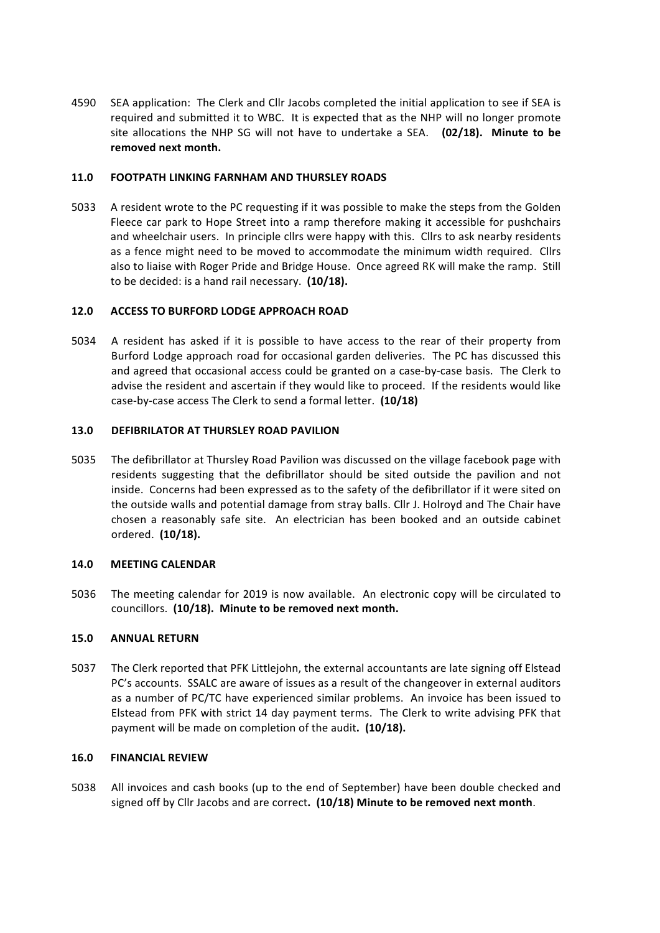4590 SEA application: The Clerk and Cllr Jacobs completed the initial application to see if SEA is required and submitted it to WBC. It is expected that as the NHP will no longer promote site allocations the NHP SG will not have to undertake a SEA. (02/18). Minute to be removed next month.

## **11.0 FOOTPATH LINKING FARNHAM AND THURSLEY ROADS**

5033 A resident wrote to the PC requesting if it was possible to make the steps from the Golden Fleece car park to Hope Street into a ramp therefore making it accessible for pushchairs and wheelchair users. In principle cllrs were happy with this. Cllrs to ask nearby residents as a fence might need to be moved to accommodate the minimum width required. Cllrs also to liaise with Roger Pride and Bridge House. Once agreed RK will make the ramp. Still to be decided: is a hand rail necessary. (10/18).

#### **12.0 ACCESS TO BURFORD LODGE APPROACH ROAD**

5034 A resident has asked if it is possible to have access to the rear of their property from Burford Lodge approach road for occasional garden deliveries. The PC has discussed this and agreed that occasional access could be granted on a case-by-case basis. The Clerk to advise the resident and ascertain if they would like to proceed. If the residents would like case-by-case access The Clerk to send a formal letter. (10/18)

# **13.0 DEFIBRILATOR AT THURSLEY ROAD PAVILION**

5035 The defibrillator at Thursley Road Pavilion was discussed on the village facebook page with residents suggesting that the defibrillator should be sited outside the pavilion and not inside. Concerns had been expressed as to the safety of the defibrillator if it were sited on the outside walls and potential damage from stray balls. Cllr J. Holroyd and The Chair have chosen a reasonably safe site. An electrician has been booked and an outside cabinet ordered. **(10/18).**

#### **14.0 MEETING CALENDAR**

5036 The meeting calendar for 2019 is now available. An electronic copy will be circulated to councillors. (10/18). Minute to be removed next month.

#### **15.0 ANNUAL RETURN**

5037 The Clerk reported that PFK Littlejohn, the external accountants are late signing off Elstead PC's accounts. SSALC are aware of issues as a result of the changeover in external auditors as a number of PC/TC have experienced similar problems. An invoice has been issued to Elstead from PFK with strict 14 day payment terms. The Clerk to write advising PFK that payment will be made on completion of the audit. (10/18).

#### **16.0 FINANCIAL REVIEW**

5038 All invoices and cash books (up to the end of September) have been double checked and signed off by Cllr Jacobs and are correct. (10/18) Minute to be removed next month.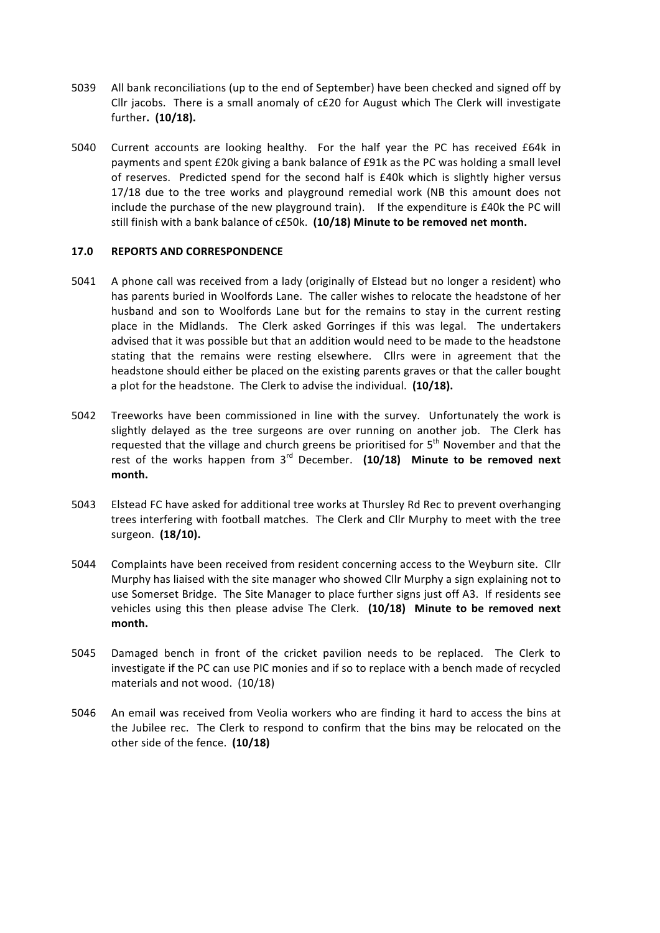- 5039 All bank reconciliations (up to the end of September) have been checked and signed off by Cllr jacobs. There is a small anomaly of c£20 for August which The Clerk will investigate further. (10/18).
- 5040 Current accounts are looking healthy. For the half year the PC has received £64k in payments and spent £20k giving a bank balance of £91k as the PC was holding a small level of reserves. Predicted spend for the second half is  $£40k$  which is slightly higher versus 17/18 due to the tree works and playground remedial work (NB this amount does not include the purchase of the new playground train). If the expenditure is  $£40k$  the PC will still finish with a bank balance of c£50k. (10/18) Minute to be removed net month.

#### **17.0 REPORTS AND CORRESPONDENCE**

- 5041 A phone call was received from a lady (originally of Elstead but no longer a resident) who has parents buried in Woolfords Lane. The caller wishes to relocate the headstone of her husband and son to Woolfords Lane but for the remains to stay in the current resting place in the Midlands. The Clerk asked Gorringes if this was legal. The undertakers advised that it was possible but that an addition would need to be made to the headstone stating that the remains were resting elsewhere. Cllrs were in agreement that the headstone should either be placed on the existing parents graves or that the caller bought a plot for the headstone. The Clerk to advise the individual. (10/18).
- 5042 Treeworks have been commissioned in line with the survey. Unfortunately the work is slightly delayed as the tree surgeons are over running on another job. The Clerk has requested that the village and church greens be prioritised for  $5<sup>th</sup>$  November and that the rest of the works happen from  $3<sup>rd</sup>$  December. (10/18) Minute to be removed next **month.**
- 5043 Elstead FC have asked for additional tree works at Thursley Rd Rec to prevent overhanging trees interfering with football matches. The Clerk and Cllr Murphy to meet with the tree surgeon. (18/10).
- 5044 Complaints have been received from resident concerning access to the Weyburn site. Cllr Murphy has liaised with the site manager who showed Cllr Murphy a sign explaining not to use Somerset Bridge. The Site Manager to place further signs just off A3. If residents see vehicles using this then please advise The Clerk. (10/18) Minute to be removed next **month.**
- 5045 Damaged bench in front of the cricket pavilion needs to be replaced. The Clerk to investigate if the PC can use PIC monies and if so to replace with a bench made of recycled materials and not wood.  $(10/18)$
- 5046 An email was received from Veolia workers who are finding it hard to access the bins at the Jubilee rec. The Clerk to respond to confirm that the bins may be relocated on the other side of the fence. (10/18)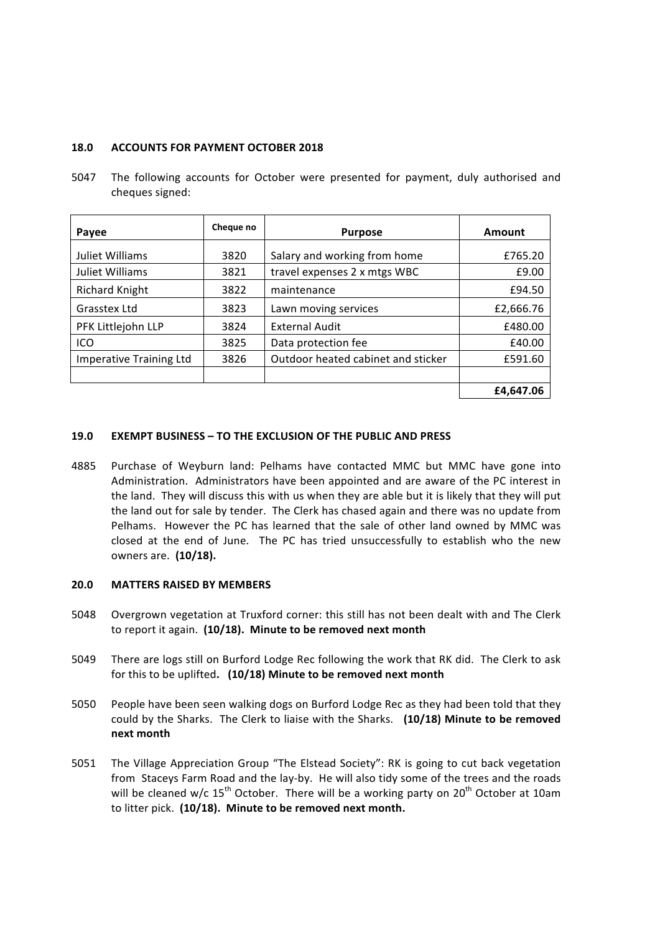#### **18.0 ACCOUNTS FOR PAYMENT OCTOBER 2018**

5047 The following accounts for October were presented for payment, duly authorised and cheques signed:

| Payee                   | Cheque no | <b>Purpose</b>                     | Amount    |
|-------------------------|-----------|------------------------------------|-----------|
| Juliet Williams         | 3820      | Salary and working from home       | £765.20   |
| Juliet Williams         | 3821      | travel expenses 2 x mtgs WBC       | £9.00     |
| <b>Richard Knight</b>   | 3822      | maintenance                        | £94.50    |
| Grasstex Ltd            | 3823      | Lawn moving services               | £2,666.76 |
| PFK Littlejohn LLP      | 3824      | External Audit                     | £480.00   |
| ICO                     | 3825      | Data protection fee                | £40.00    |
| Imperative Training Ltd | 3826      | Outdoor heated cabinet and sticker | £591.60   |
|                         |           |                                    |           |
|                         |           |                                    | £4.647.06 |

#### **19.0 EXEMPT BUSINESS – TO THE EXCLUSION OF THE PUBLIC AND PRESS**

4885 Purchase of Weyburn land: Pelhams have contacted MMC but MMC have gone into Administration. Administrators have been appointed and are aware of the PC interest in the land. They will discuss this with us when they are able but it is likely that they will put the land out for sale by tender. The Clerk has chased again and there was no update from Pelhams. However the PC has learned that the sale of other land owned by MMC was closed at the end of June. The PC has tried unsuccessfully to establish who the new owners are. **(10/18).**

#### **20.0 MATTERS RAISED BY MEMBERS**

- 5048 Overgrown vegetation at Truxford corner: this still has not been dealt with and The Clerk to report it again. (10/18). Minute to be removed next month
- 5049 There are logs still on Burford Lodge Rec following the work that RK did. The Clerk to ask for this to be uplifted. (10/18) Minute to be removed next month
- 5050 People have been seen walking dogs on Burford Lodge Rec as they had been told that they could by the Sharks. The Clerk to liaise with the Sharks. (10/18) Minute to be removed **next month**
- 5051 The Village Appreciation Group "The Elstead Society": RK is going to cut back vegetation from Staceys Farm Road and the lay-by. He will also tidy some of the trees and the roads will be cleaned w/c  $15<sup>th</sup>$  October. There will be a working party on  $20<sup>th</sup>$  October at 10am to litter pick. (10/18). Minute to be removed next month.